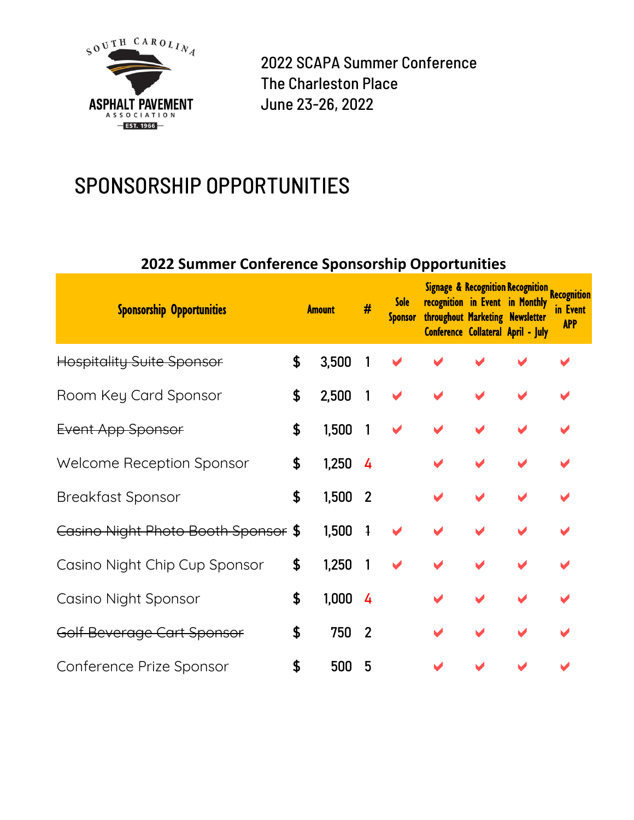

2022 SCAPA Summer Conference The Charleston Place June 23-26, 2022

# SPONSORSHIP OPPORTUNITIES

#### **2022 Summer Conference Sponsorship Opportunities**

| <b>Sponsorship Opportunities</b>    | <b>Amount</b> |       | #                        | <b>Sole</b><br><b>Sponsor</b> | throughout Marketing Newsletter | <b>Signage &amp; Recognition Recognition Recognition</b><br>recognition in Event in Monthly<br>Conference Collateral April - July | in Event<br><b>APP</b> |
|-------------------------------------|---------------|-------|--------------------------|-------------------------------|---------------------------------|-----------------------------------------------------------------------------------------------------------------------------------|------------------------|
| <b>Hospitality Suite Sponsor</b>    | \$            | 3,500 |                          |                               |                                 |                                                                                                                                   |                        |
| Room Key Card Sponsor               | \$            | 2,500 | $\overline{\phantom{a}}$ |                               |                                 |                                                                                                                                   |                        |
| Event App Sponsor                   | \$            | 1,500 | $\mathbf{1}$             |                               |                                 |                                                                                                                                   |                        |
| <b>Welcome Reception Sponsor</b>    | \$            | 1,250 | $\frac{1}{4}$            |                               |                                 |                                                                                                                                   |                        |
| <b>Breakfast Sponsor</b>            | \$            | 1,500 | $\overline{\phantom{a}}$ |                               |                                 |                                                                                                                                   |                        |
| Casino Night Photo Booth Sponsor \$ |               | 1,500 | $\overline{1}$           |                               |                                 |                                                                                                                                   |                        |
| Casino Night Chip Cup Sponsor       | \$            | 1,250 |                          |                               |                                 |                                                                                                                                   |                        |
| Casino Night Sponsor                | \$            | 1,000 | $\overline{4}$           |                               |                                 |                                                                                                                                   |                        |
| Golf Beverage Cart Sponsor          | \$            | 750   | $\overline{2}$           |                               |                                 |                                                                                                                                   |                        |
| Conference Prize Sponsor            | \$            | 500   | 5                        |                               |                                 |                                                                                                                                   |                        |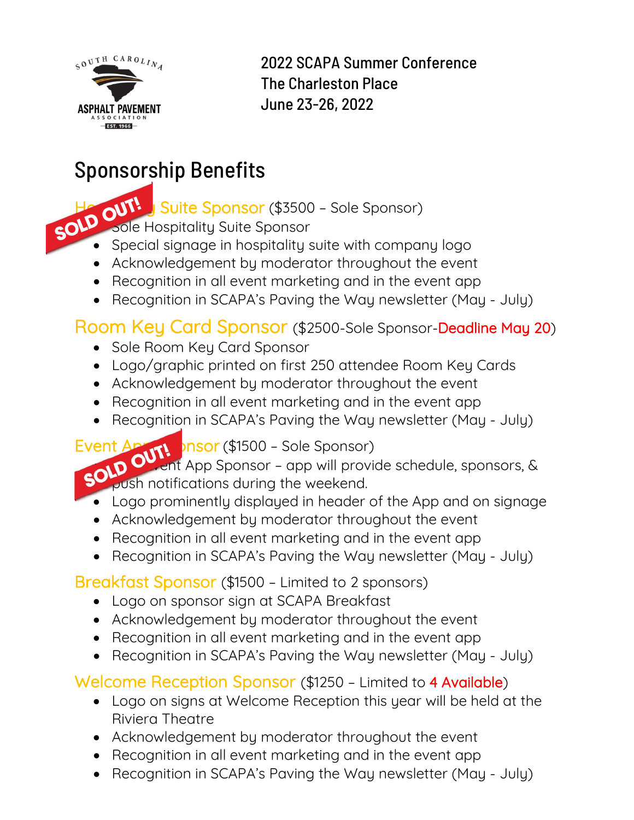

2022 SCAPA Summer Conference The Charleston Place June 23-26, 2022

# Sponsorship Benefits

Solo OUTH, Suite Sponsor (\$3500 – Sole Sponsor)<br>Solo Sole Hospitalitu Suite Sponsor

• Sole Hospitality Suite Sponsor

- Special signage in hospitality suite with company logo
- Acknowledgement by moderator throughout the event
- Recognition in all event marketing and in the event app
- Recognition in SCAPA's Paving the Way newsletter (May July)

### Room Key Card Sponsor (\$2500-Sole Sponsor-Deadline May 20)

- Sole Room Key Card Sponsor
- Logo/graphic printed on first 250 attendee Room Key Cards
- Acknowledgement by moderator throughout the event
- Recognition in all event marketing and in the event app
- Recognition in SCAPA's Paving the Way newsletter (May July)

Event Apply Durit Duser (\$1500 – Sole Sponsor)<br>SOLD OUTH App Sponsor – app will provide vent App Sponsor - app will provide schedule, sponsors, & push notifications during the weekend.

- Logo prominently displayed in header of the App and on signage
- Acknowledgement by moderator throughout the event
- Recognition in all event marketing and in the event app
- Recognition in SCAPA's Paving the Way newsletter (May July)

### Breakfast Sponsor (\$1500 – Limited to 2 sponsors)

- Logo on sponsor sign at SCAPA Breakfast
- Acknowledgement by moderator throughout the event
- Recognition in all event marketing and in the event app
- Recognition in SCAPA's Paving the Way newsletter (May July)

Welcome Reception Sponsor (\$1250 – Limited to 4 Available)

- Logo on signs at Welcome Reception this year will be held at the Riviera Theatre
- Acknowledgement by moderator throughout the event
- Recognition in all event marketing and in the event app
- Recognition in SCAPA's Paving the Way newsletter (May July)